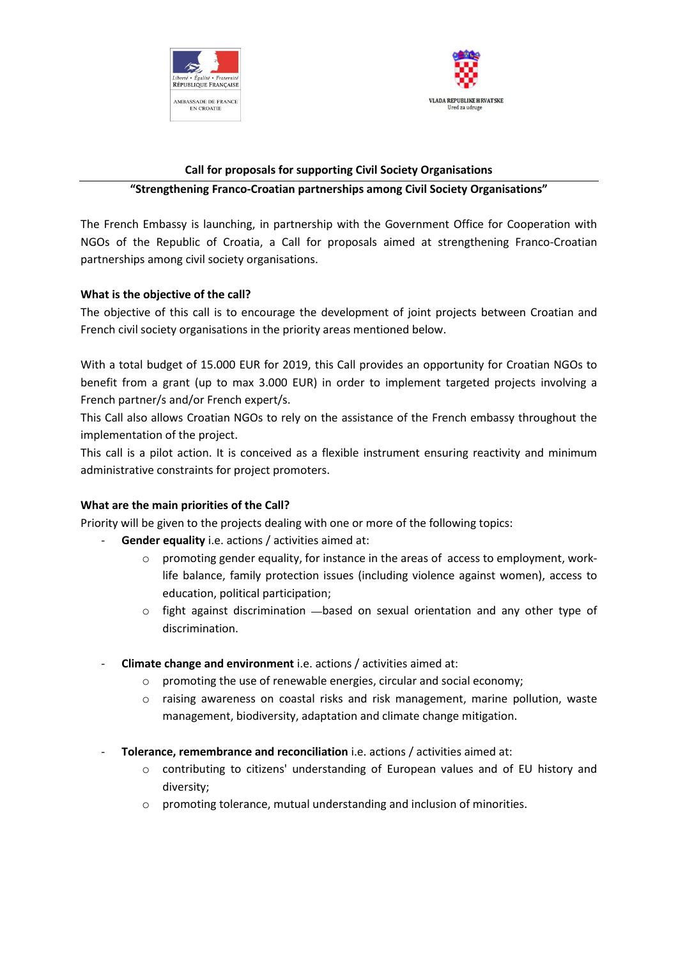



#### **Call for proposals for supporting Civil Society Organisations**

#### **"Strengthening Franco-Croatian partnerships among Civil Society Organisations"**

The French Embassy is launching, in partnership with the Government Office for Cooperation with NGOs of the Republic of Croatia, a Call for proposals aimed at strengthening Franco-Croatian partnerships among civil society organisations.

#### **What is the objective of the call?**

The objective of this call is to encourage the development of joint projects between Croatian and French civil society organisations in the priority areas mentioned below.

With a total budget of 15.000 EUR for 2019, this Call provides an opportunity for Croatian NGOs to benefit from a grant (up to max 3.000 EUR) in order to implement targeted projects involving a French partner/s and/or French expert/s.

This Call also allows Croatian NGOs to rely on the assistance of the French embassy throughout the implementation of the project.

This call is a pilot action. It is conceived as a flexible instrument ensuring reactivity and minimum administrative constraints for project promoters.

#### **What are the main priorities of the Call?**

Priority will be given to the projects dealing with one or more of the following topics:

- **Gender equality** i.e. actions / activities aimed at:
	- $\circ$  promoting gender equality, for instance in the areas of access to employment, worklife balance, family protection issues (including violence against women), access to education, political participation;
	- $\circ$  fight against discrimination based on sexual orientation and any other type of discrimination.
- **Climate change and environment** i.e. actions / activities aimed at:
	- o promoting the use of renewable energies, circular and social economy;
	- o raising awareness on coastal risks and risk management, marine pollution, waste management, biodiversity, adaptation and climate change mitigation.
- Tolerance, remembrance and reconciliation i.e. actions / activities aimed at:
	- $\circ$  contributing to citizens' understanding of European values and of EU history and diversity;
	- o promoting tolerance, mutual understanding and inclusion of minorities.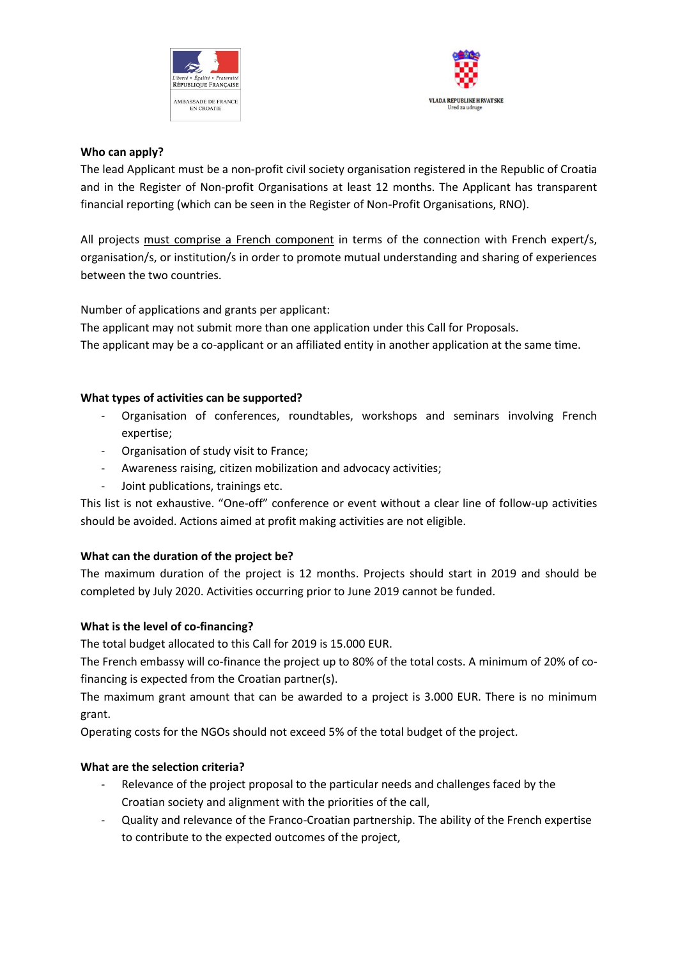



#### **Who can apply?**

The lead Applicant must be a non-profit civil society organisation registered in the Republic of Croatia and in the Register of Non-profit Organisations at least 12 months. The Applicant has transparent financial reporting (which can be seen in the Register of Non-Profit Organisations, RNO).

All projects must comprise a French component in terms of the connection with French expert/s, organisation/s, or institution/s in order to promote mutual understanding and sharing of experiences between the two countries.

Number of applications and grants per applicant:

The applicant may not submit more than one application under this Call for Proposals.

The applicant may be a co-applicant or an affiliated entity in another application at the same time.

# **What types of activities can be supported?**

- Organisation of conferences, roundtables, workshops and seminars involving French expertise;
- Organisation of study visit to France;
- Awareness raising, citizen mobilization and advocacy activities;
- Joint publications, trainings etc.

This list is not exhaustive. "One-off" conference or event without a clear line of follow-up activities should be avoided. Actions aimed at profit making activities are not eligible.

# **What can the duration of the project be?**

The maximum duration of the project is 12 months. Projects should start in 2019 and should be completed by July 2020. Activities occurring prior to June 2019 cannot be funded.

# **What is the level of co-financing?**

The total budget allocated to this Call for 2019 is 15.000 EUR.

The French embassy will co-finance the project up to 80% of the total costs. A minimum of 20% of cofinancing is expected from the Croatian partner(s).

The maximum grant amount that can be awarded to a project is 3.000 EUR. There is no minimum grant.

Operating costs for the NGOs should not exceed 5% of the total budget of the project.

# **What are the selection criteria?**

- Relevance of the project proposal to the particular needs and challenges faced by the Croatian society and alignment with the priorities of the call,
- Quality and relevance of the Franco-Croatian partnership. The ability of the French expertise to contribute to the expected outcomes of the project,